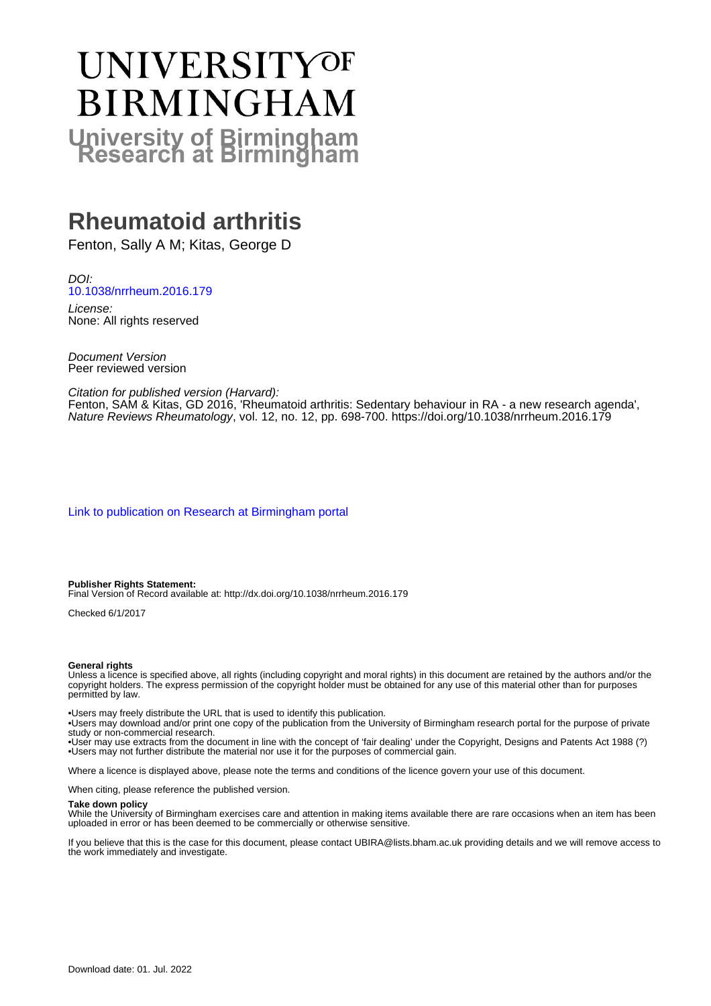# UNIVERSITYOF **BIRMINGHAM University of Birmingham**

# **Rheumatoid arthritis**

Fenton, Sally A M; Kitas, George D

DOI: [10.1038/nrrheum.2016.179](https://doi.org/10.1038/nrrheum.2016.179)

License: None: All rights reserved

Document Version Peer reviewed version

Citation for published version (Harvard):

Fenton, SAM & Kitas, GD 2016, 'Rheumatoid arthritis: Sedentary behaviour in RA - a new research agenda', Nature Reviews Rheumatology, vol. 12, no. 12, pp. 698-700. <https://doi.org/10.1038/nrrheum.2016.179>

[Link to publication on Research at Birmingham portal](https://birmingham.elsevierpure.com/en/publications/97df2a6d-0618-4609-a2e9-9a56c5d1e0e4)

**Publisher Rights Statement:** Final Version of Record available at: http://dx.doi.org/10.1038/nrrheum.2016.179

Checked 6/1/2017

#### **General rights**

Unless a licence is specified above, all rights (including copyright and moral rights) in this document are retained by the authors and/or the copyright holders. The express permission of the copyright holder must be obtained for any use of this material other than for purposes permitted by law.

• Users may freely distribute the URL that is used to identify this publication.

• Users may download and/or print one copy of the publication from the University of Birmingham research portal for the purpose of private study or non-commercial research.

• User may use extracts from the document in line with the concept of 'fair dealing' under the Copyright, Designs and Patents Act 1988 (?) • Users may not further distribute the material nor use it for the purposes of commercial gain.

Where a licence is displayed above, please note the terms and conditions of the licence govern your use of this document.

When citing, please reference the published version.

#### **Take down policy**

While the University of Birmingham exercises care and attention in making items available there are rare occasions when an item has been uploaded in error or has been deemed to be commercially or otherwise sensitive.

If you believe that this is the case for this document, please contact UBIRA@lists.bham.ac.uk providing details and we will remove access to the work immediately and investigate.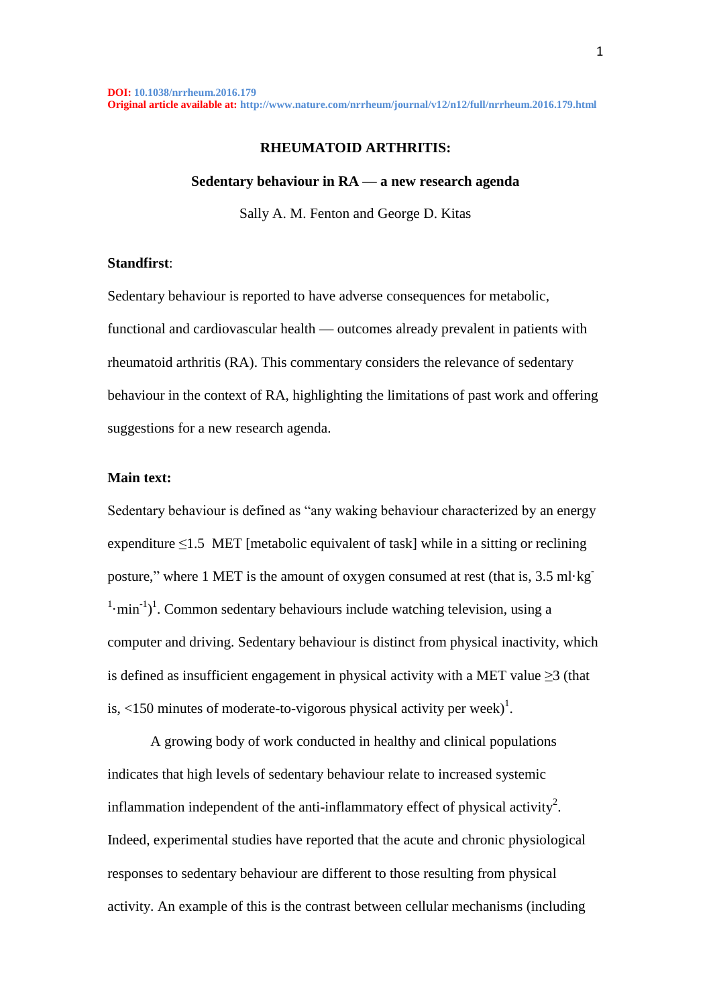#### **RHEUMATOID ARTHRITIS:**

#### **Sedentary behaviour in RA — a new research agenda**

Sally A. M. Fenton and George D. Kitas

### **Standfirst**:

Sedentary behaviour is reported to have adverse consequences for metabolic, functional and cardiovascular health — outcomes already prevalent in patients with rheumatoid arthritis (RA). This commentary considers the relevance of sedentary behaviour in the context of RA, highlighting the limitations of past work and offering suggestions for a new research agenda.

## **Main text:**

Sedentary behaviour is defined as "any waking behaviour characterized by an energy expenditure  $\leq$ 1.5 MET [metabolic equivalent of task] while in a sitting or reclining posture," where 1 MET is the amount of oxygen consumed at rest (that is, 3.5 ml·kg- $1 \cdot \text{min}^{-1}$ . Common sedentary behaviours include watching television, using a computer and driving. Sedentary behaviour is distinct from physical inactivity, which is defined as insufficient engagement in physical activity with a MET value  $\geq$ 3 (that is, <150 minutes of moderate-to-vigorous physical activity per week)<sup>1</sup>.

A growing body of work conducted in healthy and clinical populations indicates that high levels of sedentary behaviour relate to increased systemic inflammation independent of the anti-inflammatory effect of physical activity<sup>2</sup>. Indeed, experimental studies have reported that the acute and chronic physiological responses to sedentary behaviour are different to those resulting from physical activity. An example of this is the contrast between cellular mechanisms (including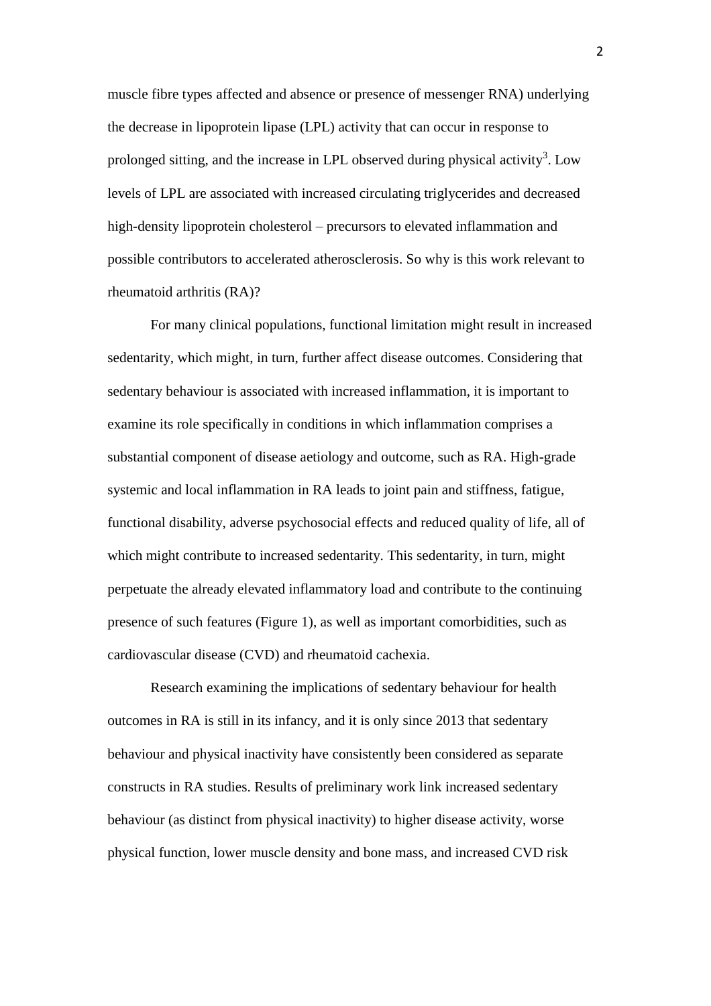muscle fibre types affected and absence or presence of messenger RNA) underlying the decrease in lipoprotein lipase (LPL) activity that can occur in response to prolonged sitting, and the increase in LPL observed during physical activity<sup>3</sup>. Low levels of LPL are associated with increased circulating triglycerides and decreased high-density lipoprotein cholesterol – precursors to elevated inflammation and possible contributors to accelerated atherosclerosis. So why is this work relevant to rheumatoid arthritis (RA)?

For many clinical populations, functional limitation might result in increased sedentarity, which might, in turn, further affect disease outcomes. Considering that sedentary behaviour is associated with increased inflammation, it is important to examine its role specifically in conditions in which inflammation comprises a substantial component of disease aetiology and outcome, such as RA. High-grade systemic and local inflammation in RA leads to joint pain and stiffness, fatigue, functional disability, adverse psychosocial effects and reduced quality of life, all of which might contribute to increased sedentarity. This sedentarity, in turn, might perpetuate the already elevated inflammatory load and contribute to the continuing presence of such features (Figure 1), as well as important comorbidities, such as cardiovascular disease (CVD) and rheumatoid cachexia.

Research examining the implications of sedentary behaviour for health outcomes in RA is still in its infancy, and it is only since 2013 that sedentary behaviour and physical inactivity have consistently been considered as separate constructs in RA studies. Results of preliminary work link increased sedentary behaviour (as distinct from physical inactivity) to higher disease activity, worse physical function, lower muscle density and bone mass, and increased CVD risk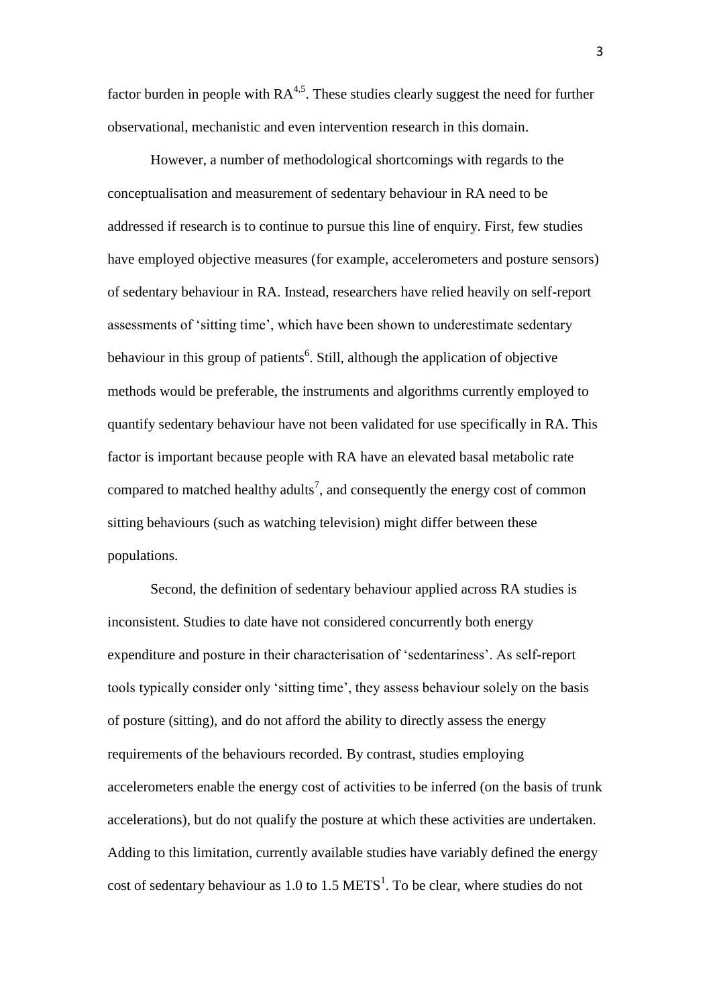factor burden in people with  $RA<sup>4,5</sup>$ . These studies clearly suggest the need for further observational, mechanistic and even intervention research in this domain.

However, a number of methodological shortcomings with regards to the conceptualisation and measurement of sedentary behaviour in RA need to be addressed if research is to continue to pursue this line of enquiry. First, few studies have employed objective measures (for example, accelerometers and posture sensors) of sedentary behaviour in RA. Instead, researchers have relied heavily on self-report assessments of 'sitting time', which have been shown to underestimate sedentary behaviour in this group of patients<sup>6</sup>. Still, although the application of objective methods would be preferable, the instruments and algorithms currently employed to quantify sedentary behaviour have not been validated for use specifically in RA. This factor is important because people with RA have an elevated basal metabolic rate compared to matched healthy adults<sup>7</sup>, and consequently the energy cost of common sitting behaviours (such as watching television) might differ between these populations.

Second, the definition of sedentary behaviour applied across RA studies is inconsistent. Studies to date have not considered concurrently both energy expenditure and posture in their characterisation of 'sedentariness'. As self-report tools typically consider only 'sitting time', they assess behaviour solely on the basis of posture (sitting), and do not afford the ability to directly assess the energy requirements of the behaviours recorded. By contrast, studies employing accelerometers enable the energy cost of activities to be inferred (on the basis of trunk accelerations), but do not qualify the posture at which these activities are undertaken. Adding to this limitation, currently available studies have variably defined the energy cost of sedentary behaviour as 1.0 to 1.5  $METS<sup>1</sup>$ . To be clear, where studies do not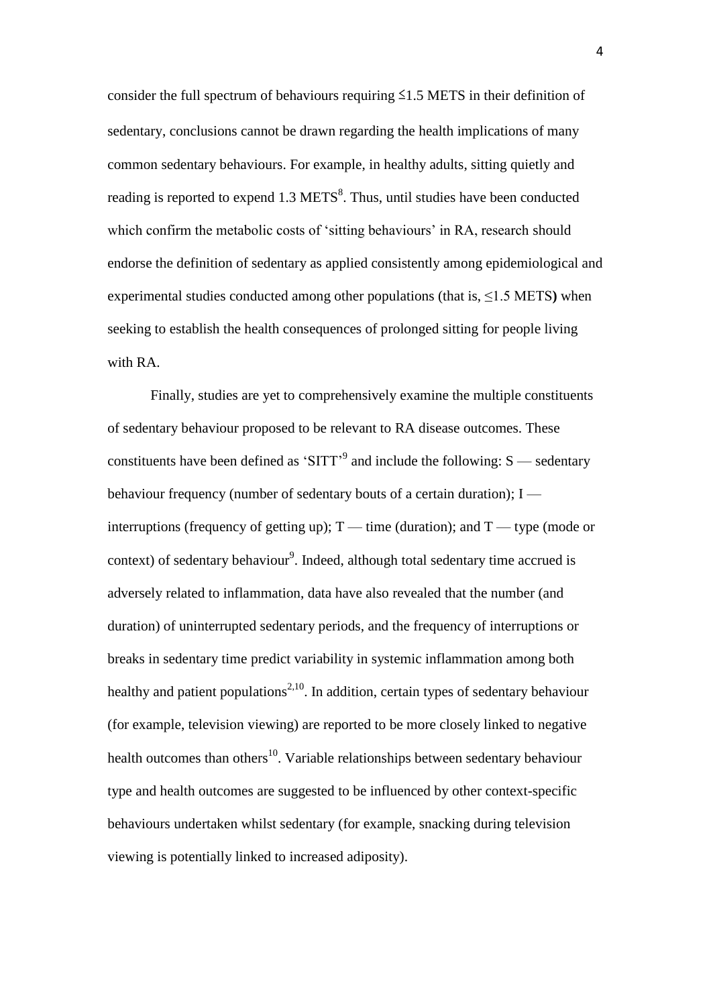consider the full spectrum of behaviours requiring  $\leq 1.5$  METS in their definition of sedentary, conclusions cannot be drawn regarding the health implications of many common sedentary behaviours. For example, in healthy adults, sitting quietly and reading is reported to expend 1.3 METS<sup>8</sup>. Thus, until studies have been conducted which confirm the metabolic costs of 'sitting behaviours' in RA, research should endorse the definition of sedentary as applied consistently among epidemiological and experimental studies conducted among other populations (that is, ≤1.5 METS**)** when seeking to establish the health consequences of prolonged sitting for people living with RA.

Finally, studies are yet to comprehensively examine the multiple constituents of sedentary behaviour proposed to be relevant to RA disease outcomes. These constituents have been defined as 'SITT'<sup>9</sup> and include the following:  $S$  — sedentary behaviour frequency (number of sedentary bouts of a certain duration);  $I$  interruptions (frequency of getting up);  $T$  — time (duration); and  $T$  — type (mode or context) of sedentary behaviour<sup>9</sup>. Indeed, although total sedentary time accrued is adversely related to inflammation, data have also revealed that the number (and duration) of uninterrupted sedentary periods, and the frequency of interruptions or breaks in sedentary time predict variability in systemic inflammation among both healthy and patient populations<sup>2,10</sup>. In addition, certain types of sedentary behaviour (for example, television viewing) are reported to be more closely linked to negative health outcomes than others<sup>10</sup>. Variable relationships between sedentary behaviour type and health outcomes are suggested to be influenced by other context-specific behaviours undertaken whilst sedentary (for example, snacking during television viewing is potentially linked to increased adiposity).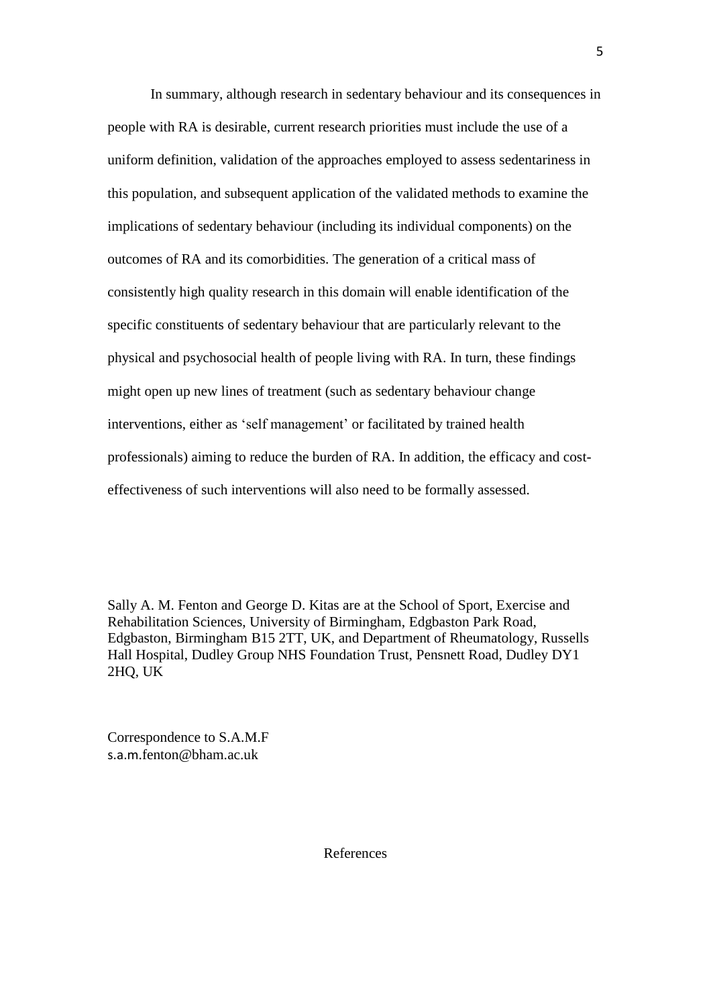In summary, although research in sedentary behaviour and its consequences in people with RA is desirable, current research priorities must include the use of a uniform definition, validation of the approaches employed to assess sedentariness in this population, and subsequent application of the validated methods to examine the implications of sedentary behaviour (including its individual components) on the outcomes of RA and its comorbidities. The generation of a critical mass of consistently high quality research in this domain will enable identification of the specific constituents of sedentary behaviour that are particularly relevant to the physical and psychosocial health of people living with RA. In turn, these findings might open up new lines of treatment (such as sedentary behaviour change interventions, either as 'self management' or facilitated by trained health professionals) aiming to reduce the burden of RA. In addition, the efficacy and costeffectiveness of such interventions will also need to be formally assessed.

Sally A. M. Fenton and George D. Kitas are at the School of Sport, Exercise and Rehabilitation Sciences, University of Birmingham, Edgbaston Park Road, Edgbaston, Birmingham B15 2TT, UK, and Department of Rheumatology, Russells Hall Hospital, Dudley Group NHS Foundation Trust, Pensnett Road, Dudley DY1 2HQ, UK

Correspondence to S.A.M.F s.a.m.fenton@bham.ac.uk

References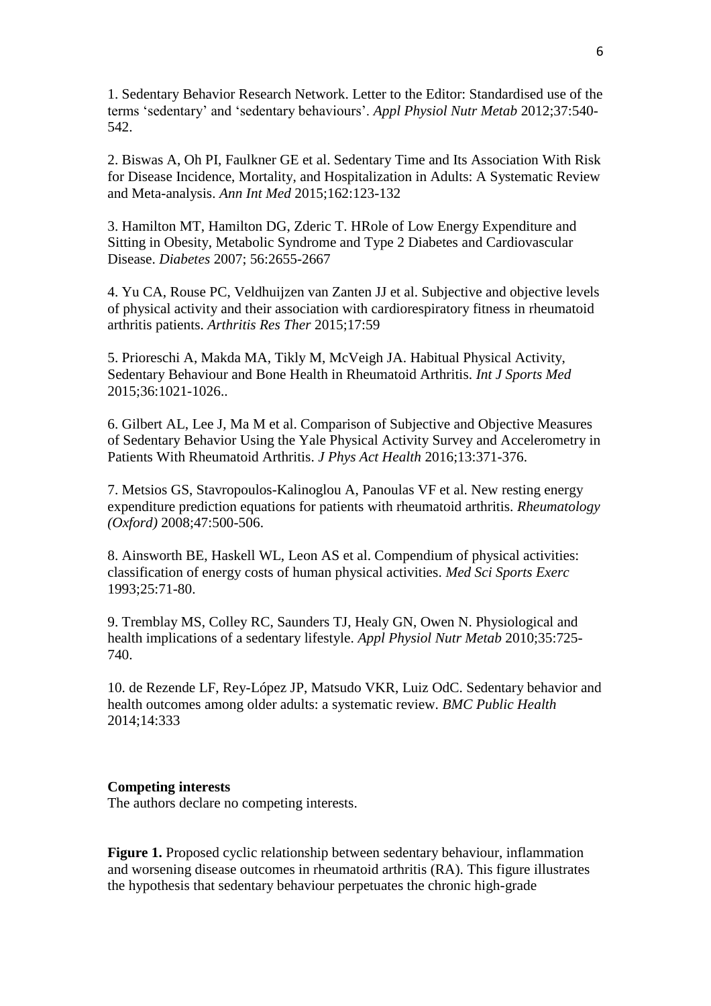1. Sedentary Behavior Research Network. Letter to the Editor: Standardised use of the terms 'sedentary' and 'sedentary behaviours'. *Appl Physiol Nutr Metab* 2012;37:540- 542.

2. Biswas A, Oh PI, Faulkner GE et al. Sedentary Time and Its Association With Risk for Disease Incidence, Mortality, and Hospitalization in Adults: A Systematic Review and Meta-analysis. *Ann Int Med* 2015;162:123-132

3. Hamilton MT, Hamilton DG, Zderic T. HRole of Low Energy Expenditure and Sitting in Obesity, Metabolic Syndrome and Type 2 Diabetes and Cardiovascular Disease. *Diabetes* 2007; 56:2655-2667

4. Yu CA, Rouse PC, Veldhuijzen van Zanten JJ et al. Subjective and objective levels of physical activity and their association with cardiorespiratory fitness in rheumatoid arthritis patients. *Arthritis Res Ther* 2015;17:59

5. Prioreschi A, Makda MA, Tikly M, McVeigh JA. Habitual Physical Activity, Sedentary Behaviour and Bone Health in Rheumatoid Arthritis. *Int J Sports Med* 2015;36:1021-1026..

6. Gilbert AL, Lee J, Ma M et al. Comparison of Subjective and Objective Measures of Sedentary Behavior Using the Yale Physical Activity Survey and Accelerometry in Patients With Rheumatoid Arthritis. *J Phys Act Health* 2016;13:371-376.

7. Metsios GS, Stavropoulos-Kalinoglou A, Panoulas VF et al. New resting energy expenditure prediction equations for patients with rheumatoid arthritis. *Rheumatology (Oxford)* 2008;47:500-506.

8. Ainsworth BE, Haskell WL, Leon AS et al. Compendium of physical activities: classification of energy costs of human physical activities. *Med Sci Sports Exerc* 1993;25:71-80.

9. Tremblay MS, Colley RC, Saunders TJ, Healy GN, Owen N. Physiological and health implications of a sedentary lifestyle. *Appl Physiol Nutr Metab* 2010;35:725- 740.

10. de Rezende LF, Rey-López JP, Matsudo VKR, Luiz OdC. Sedentary behavior and health outcomes among older adults: a systematic review. *BMC Public Health* 2014;14:333

#### **Competing interests**

The authors declare no competing interests.

**Figure 1.** Proposed cyclic relationship between sedentary behaviour, inflammation and worsening disease outcomes in rheumatoid arthritis (RA). This figure illustrates the hypothesis that sedentary behaviour perpetuates the chronic high-grade